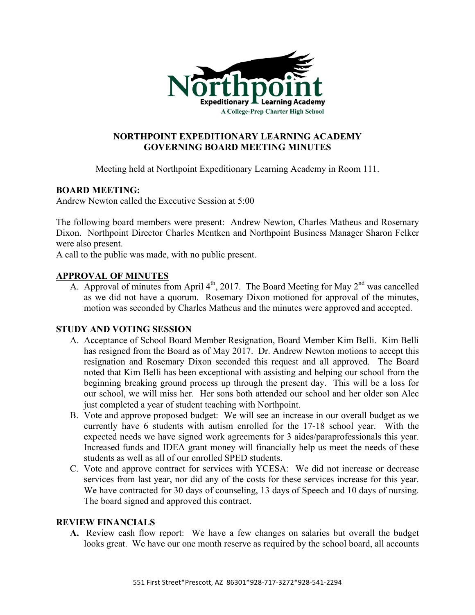

## **NORTHPOINT EXPEDITIONARY LEARNING ACADEMY GOVERNING BOARD MEETING MINUTES**

Meeting held at Northpoint Expeditionary Learning Academy in Room 111.

# **BOARD MEETING:**

Andrew Newton called the Executive Session at 5:00

The following board members were present: Andrew Newton, Charles Matheus and Rosemary Dixon. Northpoint Director Charles Mentken and Northpoint Business Manager Sharon Felker were also present.

A call to the public was made, with no public present.

## **APPROVAL OF MINUTES**

A. Approval of minutes from April  $4<sup>th</sup>$ , 2017. The Board Meeting for May  $2<sup>nd</sup>$  was cancelled as we did not have a quorum. Rosemary Dixon motioned for approval of the minutes, motion was seconded by Charles Matheus and the minutes were approved and accepted.

## **STUDY AND VOTING SESSION**

- A. Acceptance of School Board Member Resignation, Board Member Kim Belli. Kim Belli has resigned from the Board as of May 2017. Dr. Andrew Newton motions to accept this resignation and Rosemary Dixon seconded this request and all approved. The Board noted that Kim Belli has been exceptional with assisting and helping our school from the beginning breaking ground process up through the present day. This will be a loss for our school, we will miss her. Her sons both attended our school and her older son Alec just completed a year of student teaching with Northpoint.
- B. Vote and approve proposed budget: We will see an increase in our overall budget as we currently have 6 students with autism enrolled for the 17-18 school year. With the expected needs we have signed work agreements for 3 aides/paraprofessionals this year. Increased funds and IDEA grant money will financially help us meet the needs of these students as well as all of our enrolled SPED students.
- C. Vote and approve contract for services with YCESA: We did not increase or decrease services from last year, nor did any of the costs for these services increase for this year. We have contracted for 30 days of counseling, 13 days of Speech and 10 days of nursing. The board signed and approved this contract.

## **REVIEW FINANCIALS**

**A.** Review cash flow report: We have a few changes on salaries but overall the budget looks great. We have our one month reserve as required by the school board, all accounts